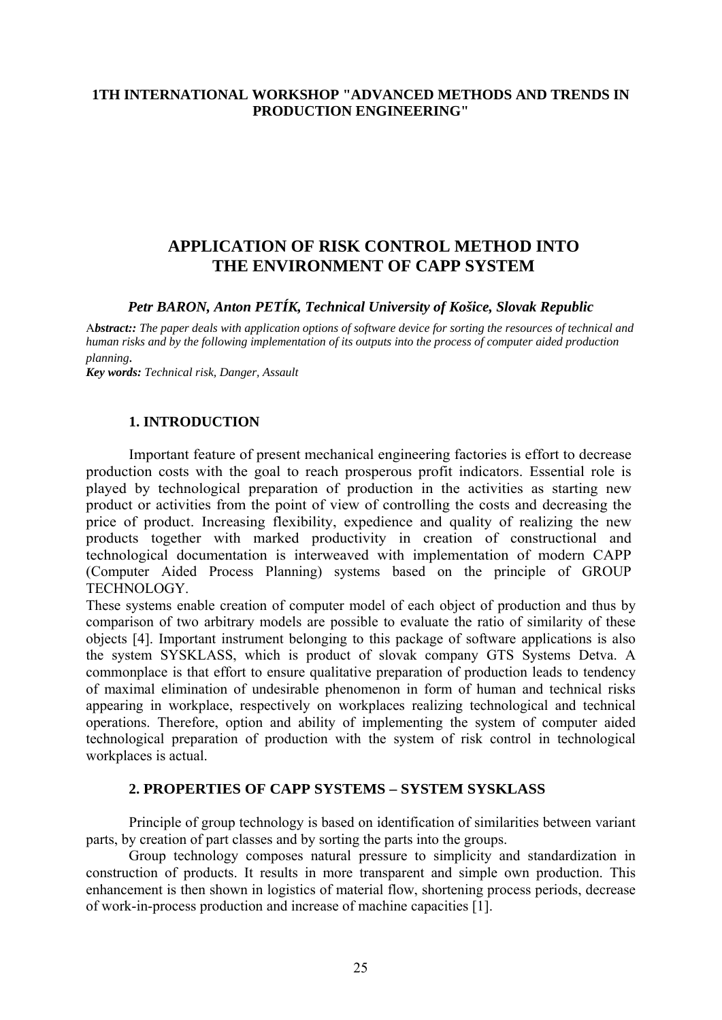## **1TH INTERNATIONAL WORKSHOP "ADVANCED METHODS AND TRENDS IN PRODUCTION ENGINEERING"**

# **APPLICATION OF RISK CONTROL METHOD INTO THE ENVIRONMENT OF CAPP SYSTEM**

*Petr BARON, Anton PETÍK, Technical University of Košice, Slovak Republic*

A*bstract:: The paper deals with application options of software device for sorting the resources of technical and human risks and by the following implementation of its outputs into the process of computer aided production planning.* 

*Key words: Technical risk, Danger, Assault* 

### **1. INTRODUCTION**

Important feature of present mechanical engineering factories is effort to decrease production costs with the goal to reach prosperous profit indicators. Essential role is played by technological preparation of production in the activities as starting new product or activities from the point of view of controlling the costs and decreasing the price of product. Increasing flexibility, expedience and quality of realizing the new products together with marked productivity in creation of constructional and technological documentation is interweaved with implementation of modern CAPP (Computer Aided Process Planning) systems based on the principle of GROUP TECHNOLOGY.

These systems enable creation of computer model of each object of production and thus by comparison of two arbitrary models are possible to evaluate the ratio of similarity of these objects [4]. Important instrument belonging to this package of software applications is also the system SYSKLASS, which is product of slovak company GTS Systems Detva. A commonplace is that effort to ensure qualitative preparation of production leads to tendency of maximal elimination of undesirable phenomenon in form of human and technical risks appearing in workplace, respectively on workplaces realizing technological and technical operations. Therefore, option and ability of implementing the system of computer aided technological preparation of production with the system of risk control in technological workplaces is actual.

#### **2. PROPERTIES OF CAPP SYSTEMS – SYSTEM SYSKLASS**

Principle of group technology is based on identification of similarities between variant parts, by creation of part classes and by sorting the parts into the groups.

Group technology composes natural pressure to simplicity and standardization in construction of products. It results in more transparent and simple own production. This enhancement is then shown in logistics of material flow, shortening process periods, decrease of work-in-process production and increase of machine capacities [1].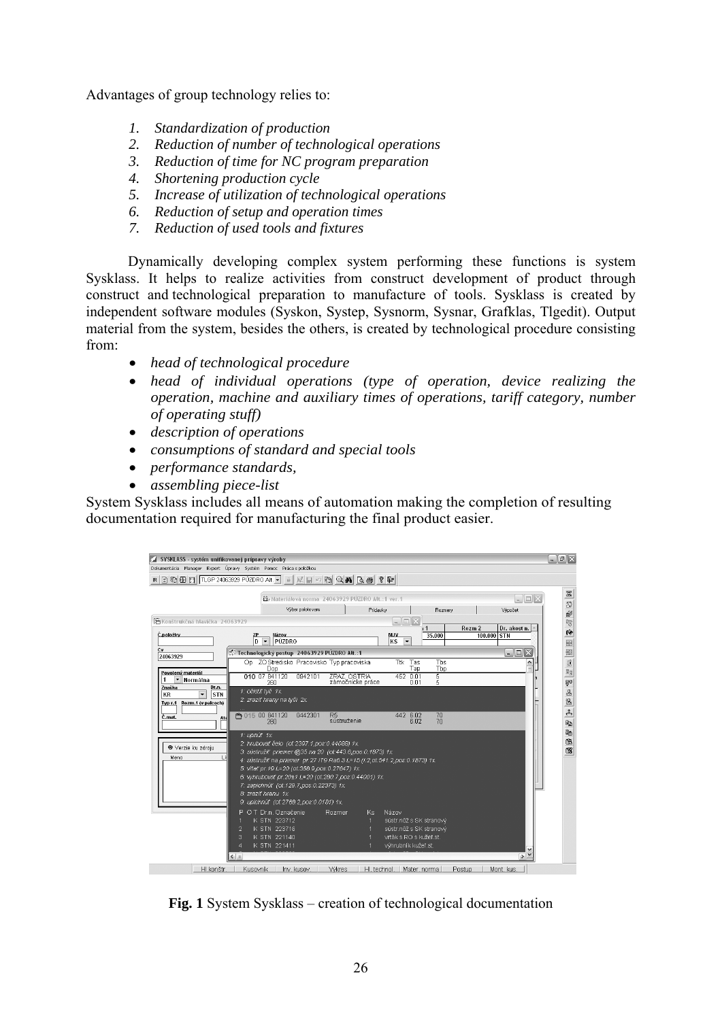Advantages of group technology relies to:

- *1. Standardization of production*
- *2. Reduction of number of technological operations*
- *3. Reduction of time for NC program preparation*
- *4. Shortening production cycle*
- *5. Increase of utilization of technological operations*
- *6. Reduction of setup and operation times*
- *7. Reduction of used tools and fixtures*

Dynamically developing complex system performing these functions is system Sysklass. It helps to realize activities from construct development of product through construct and technological preparation to manufacture of tools. Sysklass is created by independent software modules (Syskon, Systep, Sysnorm, Sysnar, Grafklas, Tlgedit). Output material from the system, besides the others, is created by technological procedure consisting from:

- *head of technological procedure*
- *head of individual operations (type of operation, device realizing the operation, machine and auxiliary times of operations, tariff category, number of operating stuff)*
- *description of operations*
- *consumptions of standard and special tools*
- *performance standards,*
- *assembling piece-list*

System Sysklass includes all means of automation making the completion of resulting documentation required for manufacturing the final product easier.

| Dokumentácia Manager Expert Úpravy Systém Pomoc Prácaspoložkou                  |                    |                                                                                                                                                                                                                                                                                                                                                                                                                |                  |                                               |          |                                                        |                                                    |                   |         |                          | $  \sqrt{2}$ $\times$        |
|---------------------------------------------------------------------------------|--------------------|----------------------------------------------------------------------------------------------------------------------------------------------------------------------------------------------------------------------------------------------------------------------------------------------------------------------------------------------------------------------------------------------------------------|------------------|-----------------------------------------------|----------|--------------------------------------------------------|----------------------------------------------------|-------------------|---------|--------------------------|------------------------------|
| REBBBCITLGP 24063929 PÚZDRO Alt. - A MEDIORAQA QA BBC ? P                       |                    |                                                                                                                                                                                                                                                                                                                                                                                                                |                  |                                               |          |                                                        |                                                    |                   |         |                          |                              |
|                                                                                 |                    | Materiálová norma 24063929 PÚZDRO Alt.:1 ver.                                                                                                                                                                                                                                                                                                                                                                  |                  |                                               |          |                                                        |                                                    |                   |         |                          | $\Vert \square \Vert \times$ |
|                                                                                 |                    |                                                                                                                                                                                                                                                                                                                                                                                                                | Výber polotovaru |                                               | Prídavky |                                                        | Rozmery                                            |                   |         | Výpočet                  |                              |
| ■Konštrukčná hlavička 24063929                                                  |                    |                                                                                                                                                                                                                                                                                                                                                                                                                |                  |                                               |          | $\Box$<br>$\sim$                                       |                                                    |                   |         |                          |                              |
| Č.položky                                                                       | ZP<br>D            | Házov<br>$\overline{\phantom{a}}$<br>PÚZDRO                                                                                                                                                                                                                                                                                                                                                                    |                  |                                               |          | <b>MJV</b><br>KS<br>$\overline{\phantom{a}}$           | $\overline{1}$<br>35.000                           | Rozm <sub>2</sub> | 100.000 | Dr. akost n.<br>STN      |                              |
| 24063929                                                                        |                    | Technologický postup 24063929 PÚZDRO Alt.:1                                                                                                                                                                                                                                                                                                                                                                    |                  |                                               |          |                                                        |                                                    |                   |         | $ \blacksquare$ $\times$ |                              |
|                                                                                 |                    | On ZO Stredisko Pracovisko Tvo pracoviska<br>Dop                                                                                                                                                                                                                                                                                                                                                               |                  |                                               |          | Ttk                                                    | Tas<br>Tbs<br>Tap<br>Tbp                           |                   |         |                          |                              |
| Povolený materiál<br>Normálna                                                   |                    | 010 07 841120<br>260                                                                                                                                                                                                                                                                                                                                                                                           | 0942101          | <b><i>TRAZ OSTRIA</i></b><br>zámočnícke práce |          | 452 0.01                                               | 5<br>5<br>0.01                                     |                   |         |                          |                              |
| Značka<br>Dr.n.<br>KR<br><b>STN</b><br>$\cdot$<br>Rozm.1 (v palcoch)<br>Typ r.1 | 1: očistiť tyč 1x. | 2: zraziť hrany na tyči 2x.                                                                                                                                                                                                                                                                                                                                                                                    |                  |                                               |          |                                                        |                                                    |                   |         |                          |                              |
| Č.mat.<br>Ate                                                                   | ₹ 015 00 841120    | 260                                                                                                                                                                                                                                                                                                                                                                                                            | 0442301          | R <sub>5</sub><br>sústruženie                 |          | 442 6.02                                               | 70<br>70                                           |                   |         |                          |                              |
| <sup>●</sup> Verzie ku zdroiu<br>Lis<br>Meno                                    | 1: upnúť 1x.       | 2: hrubovať čelo (ot:2397.1, pos:0.44088) 1x.<br>3: sústružiť priemer @35 na 20 (ot:443.6,pos:0.1873) 1x.<br>4: sústružiť na priemer pr.27 IT9 Ra6.3 L=15 (I:2 ot:541.2 pos:0.1873) 1x.<br>5: vitat pr. 19 L=20 (ot:358.9,pos:0.27647) 1x.<br>6: whrubovať pr.20±1 L=20 (ot:280.7 pos:0.44001) 1x.<br>7: zapichnúť (ot:129.7,pos:0.22373) 1x.<br>8: zraziť hranu 1x.<br>9: upichnúť (ot:2768.2,pos:0.0181) 1x. |                  |                                               |          |                                                        |                                                    |                   |         |                          |                              |
|                                                                                 | 2<br>3<br>4        | O T Dr.n. Označenie<br>K STN 223712<br>K STN 223716<br>K STN 221140<br>K STN 221411                                                                                                                                                                                                                                                                                                                            |                  | <b>Rozmer</b>                                 | Ks.      | Názov<br>vrták s RO s kužeľ st.<br>výhrubník kužeľ st. | sústr.nôž s SK stranový<br>sústr.nôž s SK stranový |                   |         |                          |                              |

**Fig. 1** System Sysklass – creation of technological documentation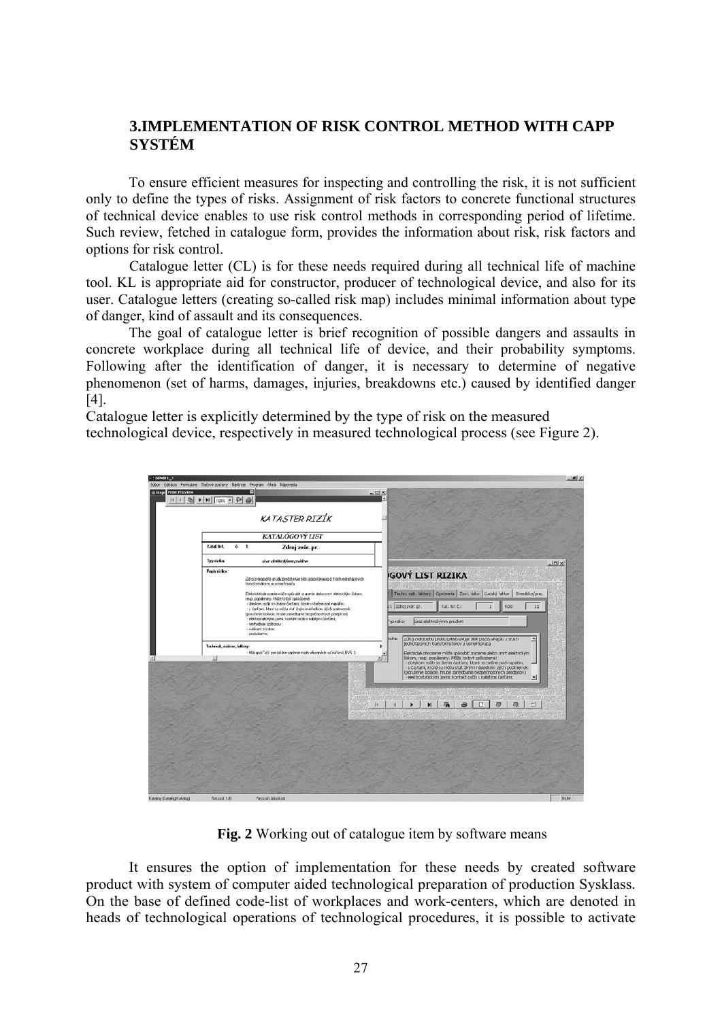## **3.IMPLEMENTATION OF RISK CONTROL METHOD WITH CAPP SYSTÉM**

To ensure efficient measures for inspecting and controlling the risk, it is not sufficient only to define the types of risks. Assignment of risk factors to concrete functional structures of technical device enables to use risk control methods in corresponding period of lifetime. Such review, fetched in catalogue form, provides the information about risk, risk factors and options for risk control.

Catalogue letter (CL) is for these needs required during all technical life of machine tool. KL is appropriate aid for constructor, producer of technological device, and also for its user. Catalogue letters (creating so-called risk map) includes minimal information about type of danger, kind of assault and its consequences.

The goal of catalogue letter is brief recognition of possible dangers and assaults in concrete workplace during all technical life of device, and their probability symptoms. Following after the identification of danger, it is necessary to determine of negative phenomenon (set of harms, damages, injuries, breakdowns etc.) caused by identified danger [4].

Catalogue letter is explicitly determined by the type of risk on the measured technological device, respectively in measured technological process (see Figure 2).



**Fig. 2** Working out of catalogue item by software means

It ensures the option of implementation for these needs by created software product with system of computer aided technological preparation of production Sysklass. On the base of defined code-list of workplaces and work-centers, which are denoted in heads of technological operations of technological procedures, it is possible to activate